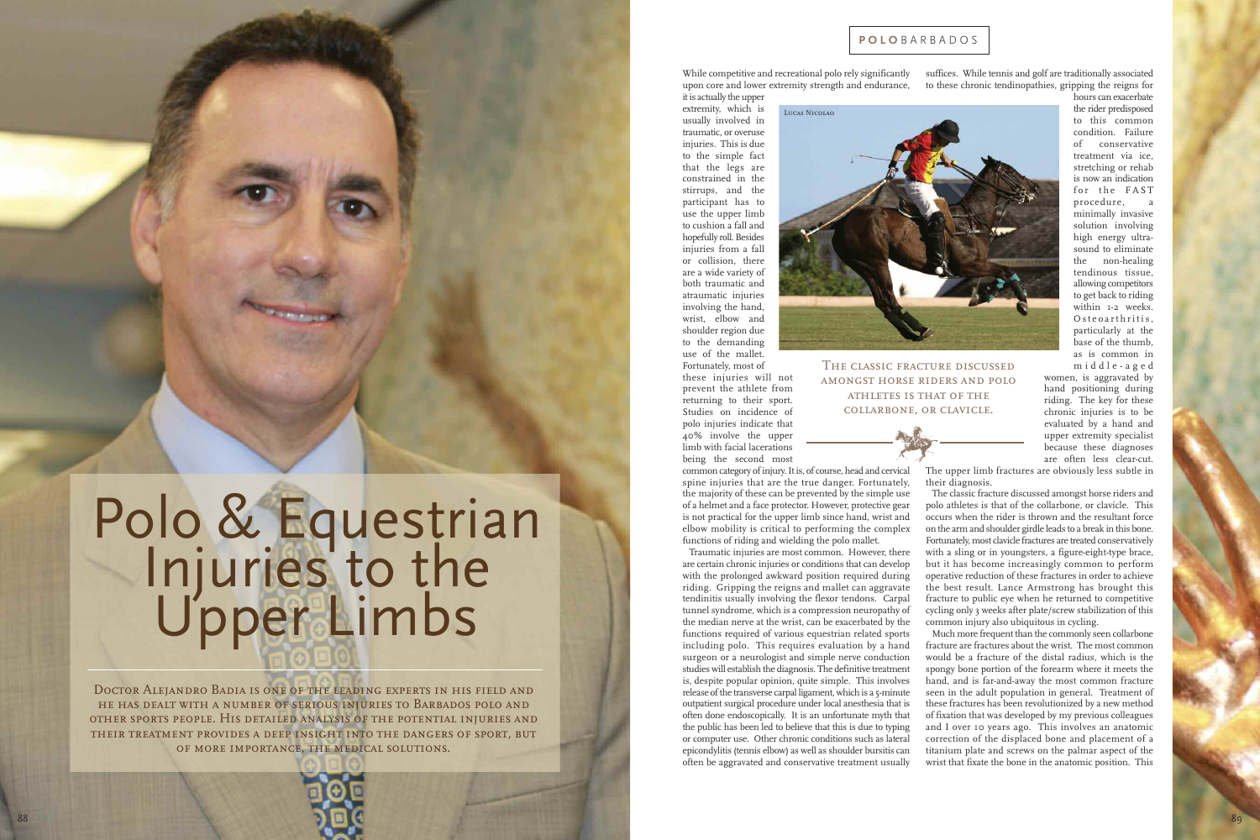LUCAS NICOLAO

suffices. While tennis and golf are traditionally associated to these chronic tendinopathies, gripping the reigns for While competitive and recreational polo rely significantly upon core and lower extremity strength and endurance,

it is actually the upper extremity, which is usually involved in traumatic, or overuse injuries. This is due to the simple fact that the legs are constrained in the stirrups, and the participant has to use the upper limb to cushion a fall and hopefully roll. Besides injuries from a fall or collision, there are a wide variety of both traumatic and atraumatic injuries involving the hand, wrist, elbow and shoulder region due to the demanding use of the mallet.



Fortunately, most of these injuries will not prevent the athlete from returning to their sport. Studies on incidence of polo injuries indicate that 40% involve the upper limb with facial lacerations being the second most

common category of injury. It is, of course, head and cervical spine injuries that are the true danger. Fortunately, the majority of these can be prevented by the simple use of a helmet and a face protector. However, protective gear is not practical for the upper limb since hand, wrist and elbow mobility is critical to performing the complex functions of riding and wielding the polo mallet.

Traumatic injuries are most common. However, there are certain chronic injuries or conditions that can develop with the prolonged awkward position required during riding. Gripping the reigns and mallet can aggravate tendinitis usually involving the flexor tendons. Carpal tunnel syndrome, which is a compression neuropathy of the median nerve at the wrist, can be exacerbated by the functions required of various equestrian related sports including polo. This requires evaluation by a hand surgeon or a neurologist and simple nerve conduction studies will establish the diagnosis. The definitive treatment is, despite popular opinion, quite simple. This involves release of the transverse carpal ligament, which is a 5-minute outpatient surgical procedure under local anesthesia that is often done endoscopically. It is an unfortunate myth that the public has been led to believe that this is due to typing or computer use. Other chronic conditions such as lateral epicondylitis (tennis elbow) as well as shoulder bursitis can often be aggravated and conservative treatment usually

# Polo & Equestrian Injuries to the UpperLimbs

DOCTOR ALEJANDRO BADIA IS ONE OF THE LEADING EXPERTS IN HIS FIELD AND HE HAS DEALT WITH A NUMBER OF SERIOUS INJURIES TO BARBADOS POLO AND OTHER SPORTS PEOPLE. HIS DETAILED ANALYSIS OF THE POTENTIAL INJURIES AND THEIR TREATMENT PROVIDES A DEEP INSIGHT INTO THE DANGERS OF SPORT, BUT OF MORE IMPORTANCE, THE MEDICAL SOLUTIONS.



hours can exacerbate the rider predisposed to this common condition. Failure o f conservative treatment via ice, stretching or rehab is now an indication f o r t h e F A S T procedure, a minimally invasive solution involving high energy ultrasound to eliminate the non-healing tendinous tissue, allowing competitors to get back to riding within 1-2 weeks. Osteoarthritis, particularly at the b a s e o f t h e t h u m b , a s i s c o m m o n i n m i d d l e - a g e d

women, is aggravated by hand positioning during riding. The key for these chronic injuries is to be evaluated by a hand and upper extremity specialist because these diagnoses are often less clear-cut.



THE CLASSIC FRACTURE DISCUSSED AMONGST HORSE RIDERS AND POLO ATHLETES IS THAT OF THE COLLARBONE, OR CLAVICLE.



The upper limb fractures are obviously less subtle in their diagnosis.

The classic fracture discussed amongst horse riders and polo athletes is that of the collarbone, or clavicle. This occurs when the rider is thrown and the resultant force on the arm and shoulder girdle leads to a break in this bone. Fortunately, most clavicle fractures are treated conservatively with a sling or in youngsters, a figure-eight-type brace, but it has become increasingly common to perform operative reduction of these fractures in order to achieve the best result. Lance Armstrong has brought this fracture to public eye when he returned to competitive cycling only 3 weeks after plate/screw stabilization of this common injury also ubiquitous in cycling.

Much more frequent than the commonly seen collarbone fracture are fractures about the wrist. The most common would be a fracture of the distal radius, which is the spongy bone portion of the forearm where it meets the hand, and is far-and-away the most common fracture seen in the adult population in general. Treatment of these fractures has been revolutionized by a new method of fixation that was developed by my previous colleagues and I over 10 years ago. This involves an anatomic correction of the displaced bone and placement of a titanium plate and screws on the palmar aspect of the wrist that fixate the bone in the anatomic position. This